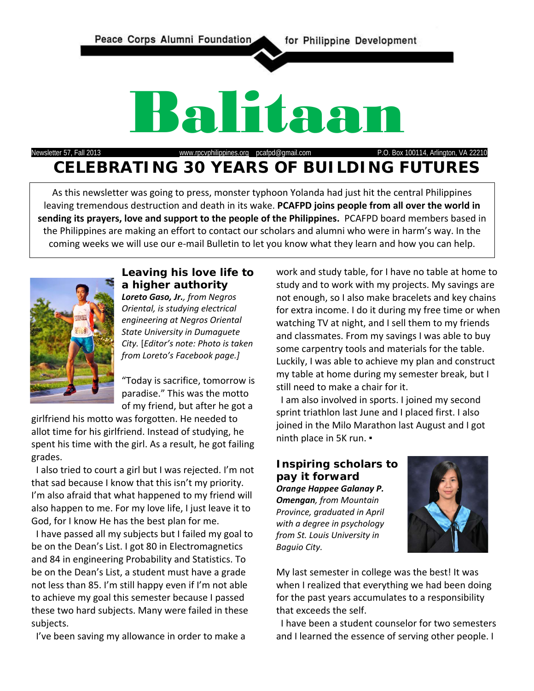Peace Corps Alumni Foundation for Philippine Development



Newsletter 57, Fall 2013 [www.rpcvphilippines.org](http://www.rpcvphilippines.org/) pcafpd@gmail.com P.O. Box 100114, Arlington, VA 22210

# **CELEBRATING 30 YEARS OF BUILDING FUTURES**

As this newsletter was going to press, monster typhoon Yolanda had just hit the central Philippines leaving tremendous destruction and death in its wake. **PCAFPD joins people from all over the world in sending its prayers, love and support to the people of the Philippines.** PCAFPD board members based in the Philippines are making an effort to contact our scholars and alumni who were in harm's way. In the coming weeks we will use our e-mail Bulletin to let you know what they learn and how you can help.



# **Leaving his love life to a higher authority**

*Loreto Gaso, Jr., from Negros Oriental, is studying electrical engineering at Negros Oriental State University in Dumaguete City.* [*Editor's note: Photo is taken from Loreto's Facebook page.]*

"Today is sacrifice, tomorrow is paradise." This was the motto of my friend, but after he got a

girlfriend his motto was forgotten. He needed to allot time for his girlfriend. Instead of studying, he spent his time with the girl. As a result, he got failing grades.

 I also tried to court a girl but I was rejected. I'm not that sad because I know that this isn't my priority. I'm also afraid that what happened to my friend will also happen to me. For my love life, I just leave it to God, for I know He has the best plan for me.

 I have passed all my subjects but I failed my goal to be on the Dean's List. I got 80 in Electromagnetics and 84 in engineering Probability and Statistics. To be on the Dean's List, a student must have a grade not less than 85. I'm still happy even if I'm not able to achieve my goal this semester because I passed these two hard subjects. Many were failed in these subjects.

I've been saving my allowance in order to make a

work and study table, for I have no table at home to study and to work with my projects. My savings are not enough, so I also make bracelets and key chains for extra income. I do it during my free time or when watching TV at night, and I sell them to my friends and classmates. From my savings I was able to buy some carpentry tools and materials for the table. Luckily, I was able to achieve my plan and construct my table at home during my semester break, but I still need to make a chair for it.

 I am also involved in sports. I joined my second sprint triathlon last June and I placed first. I also joined in the Milo Marathon last August and I got ninth place in 5K run. *▪*

# **Inspiring scholars to pay it forward**

*Orange Happee Galanay P. Omengan, from Mountain Province, graduated in April with a degree in psychology from St. Louis University in Baguio City.*



My last semester in college was the best! It was when I realized that everything we had been doing for the past years accumulates to a responsibility that exceeds the self.

 I have been a student counselor for two semesters and I learned the essence of serving other people. I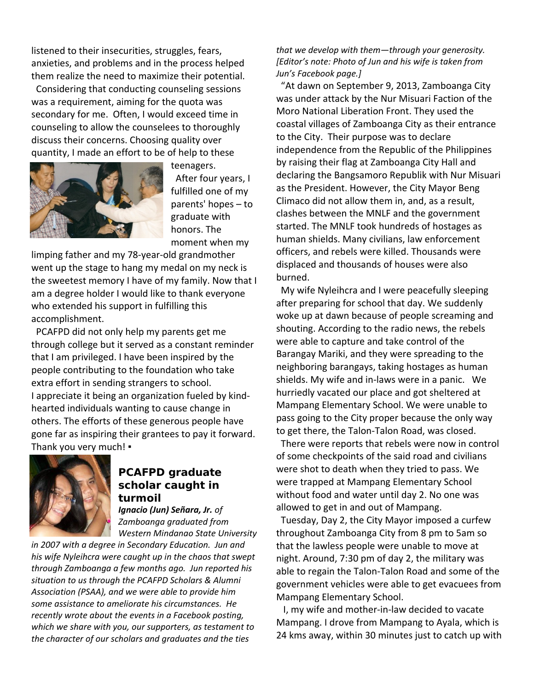listened to their insecurities, struggles, fears, anxieties, and problems and in the process helped them realize the need to maximize their potential.

 Considering that conducting counseling sessions was a requirement, aiming for the quota was secondary for me. Often, I would exceed time in counseling to allow the counselees to thoroughly discuss their concerns. Choosing quality over quantity, I made an effort to be of help to these



teenagers. After four years, I fulfilled one of my parents' hopes – to graduate with honors. The moment when my

limping father and my 78-year-old grandmother went up the stage to hang my medal on my neck is the sweetest memory I have of my family. Now that I am a degree holder I would like to thank everyone who extended his support in fulfilling this accomplishment.

 PCAFPD did not only help my parents get me through college but it served as a constant reminder that I am privileged. I have been inspired by the people contributing to the foundation who take extra effort in sending strangers to school. I appreciate it being an organization fueled by kindhearted individuals wanting to cause change in others. The efforts of these generous people have gone far as inspiring their grantees to pay it forward. Thank you very much! ▪



# **PCAFPD graduate scholar caught in turmoil**

*Ignacio (Jun) Señara, Jr. of Zamboanga graduated from Western Mindanao State University* 

*in 2007 with a degree in Secondary Education. Jun and his wife Nyleihcra were caught up in the chaos that swept through Zamboanga a few months ago. Jun reported his situation to us through the PCAFPD Scholars & Alumni Association (PSAA), and we were able to provide him some assistance to ameliorate his circumstances. He recently wrote about the events in a Facebook posting, which we share with you, our supporters, as testament to the character of our scholars and graduates and the ties* 

*that we develop with them—through your generosity. [Editor's note: Photo of Jun and his wife is taken from Jun's Facebook page.]* 

 "At dawn on September 9, 2013, Zamboanga City was under attack by the Nur Misuari Faction of the Moro National Liberation Front. They used the coastal villages of Zamboanga City as their entrance to the City. Their purpose was to declare independence from the Republic of the Philippines by raising their flag at Zamboanga City Hall and declaring the Bangsamoro Republik with Nur Misuari as the President. However, the City Mayor Beng Climaco did not allow them in, and, as a result, clashes between the MNLF and the government started. The MNLF took hundreds of hostages as human shields. Many civilians, law enforcement officers, and rebels were killed. Thousands were displaced and thousands of houses were also burned.

 My wife Nyleihcra and I were peacefully sleeping after preparing for school that day. We suddenly woke up at dawn because of people screaming and shouting. According to the radio news, the rebels were able to capture and take control of the Barangay Mariki, and they were spreading to the neighboring barangays, taking hostages as human shields. My wife and in-laws were in a panic. We hurriedly vacated our place and got sheltered at Mampang Elementary School. We were unable to pass going to the City proper because the only way to get there, the Talon-Talon Road, was closed.

 There were reports that rebels were now in control of some checkpoints of the said road and civilians were shot to death when they tried to pass. We were trapped at Mampang Elementary School without food and water until day 2. No one was allowed to get in and out of Mampang.

 Tuesday, Day 2, the City Mayor imposed a curfew throughout Zamboanga City from 8 pm to 5am so that the lawless people were unable to move at night. Around, 7:30 pm of day 2, the military was able to regain the Talon-Talon Road and some of the government vehicles were able to get evacuees from Mampang Elementary School.

 I, my wife and mother-in-law decided to vacate Mampang. I drove from Mampang to Ayala, which is 24 kms away, within 30 minutes just to catch up with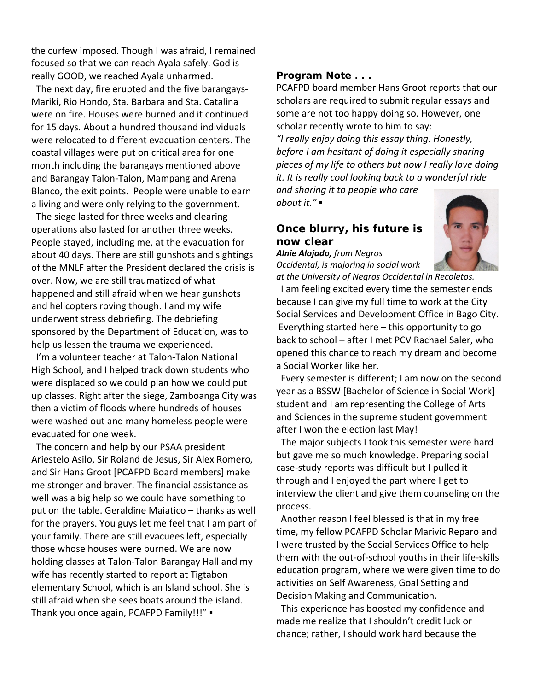the curfew imposed. Though I was afraid, I remained focused so that we can reach Ayala safely. God is really GOOD, we reached Ayala unharmed.

 The next day, fire erupted and the five barangays-Mariki, Rio Hondo, Sta. Barbara and Sta. Catalina were on fire. Houses were burned and it continued for 15 days. About a hundred thousand individuals were relocated to different evacuation centers. The coastal villages were put on critical area for one month including the barangays mentioned above and Barangay Talon-Talon, Mampang and Arena Blanco, the exit points. People were unable to earn a living and were only relying to the government.

 The siege lasted for three weeks and clearing operations also lasted for another three weeks. People stayed, including me, at the evacuation for about 40 days. There are still gunshots and sightings of the MNLF after the President declared the crisis is over. Now, we are still traumatized of what happened and still afraid when we hear gunshots and helicopters roving though. I and my wife underwent stress debriefing. The debriefing sponsored by the Department of Education, was to help us lessen the trauma we experienced.

 I'm a volunteer teacher at Talon-Talon National High School, and I helped track down students who were displaced so we could plan how we could put up classes. Right after the siege, Zamboanga City was then a victim of floods where hundreds of houses were washed out and many homeless people were evacuated for one week.

 The concern and help by our PSAA president Ariestelo Asilo, Sir Roland de Jesus, Sir Alex Romero, and Sir Hans Groot [PCAFPD Board members] make me stronger and braver. The financial assistance as well was a big help so we could have something to put on the table. Geraldine Maiatico – thanks as well for the prayers. You guys let me feel that I am part of your family. There are still evacuees left, especially those whose houses were burned. We are now holding classes at Talon-Talon Barangay Hall and my wife has recently started to report at Tigtabon elementary School, which is an Island school. She is still afraid when she sees boats around the island. Thank you once again, PCAFPD Family!!!" .

### **Program Note . . .**

PCAFPD board member Hans Groot reports that our scholars are required to submit regular essays and some are not too happy doing so. However, one scholar recently wrote to him to say:

*"I really enjoy doing this essay thing. Honestly, before I am hesitant of doing it especially sharing pieces of my life to others but now I really love doing it. It is really cool looking back to a wonderful ride* 

*and sharing it to people who care about it." ▪*

# **Once blurry, his future is now clear**

*Alnie Alojado, from Negros Occidental, is majoring in social work* 



*at the University of Negros Occidental in Recoletos.* I am feeling excited every time the semester ends because I can give my full time to work at the City Social Services and Development Office in Bago City. Everything started here – this opportunity to go back to school – after I met PCV Rachael Saler, who opened this chance to reach my dream and become a Social Worker like her.

 Every semester is different; I am now on the second year as a BSSW [Bachelor of Science in Social Work] student and I am representing the College of Arts and Sciences in the supreme student government after I won the election last May!

 The major subjects I took this semester were hard but gave me so much knowledge. Preparing social case-study reports was difficult but I pulled it through and I enjoyed the part where I get to interview the client and give them counseling on the process.

 Another reason I feel blessed is that in my free time, my fellow PCAFPD Scholar Marivic Reparo and I were trusted by the Social Services Office to help them with the out-of-school youths in their life-skills education program, where we were given time to do activities on Self Awareness, Goal Setting and Decision Making and Communication.

 This experience has boosted my confidence and made me realize that I shouldn't credit luck or chance; rather, I should work hard because the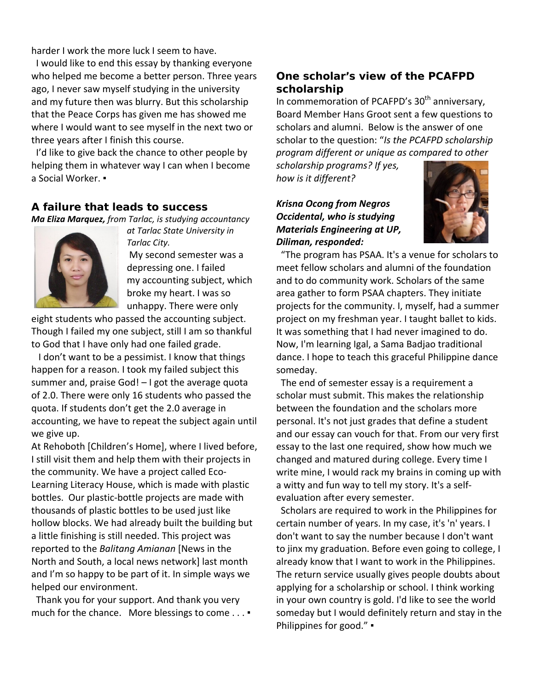harder I work the more luck I seem to have.

 I would like to end this essay by thanking everyone who helped me become a better person. Three years ago, I never saw myself studying in the university and my future then was blurry. But this scholarship that the Peace Corps has given me has showed me where I would want to see myself in the next two or three years after I finish this course.

 I'd like to give back the chance to other people by helping them in whatever way I can when I become a Social Worker. ▪

#### **A failure that leads to success**

*Ma Eliza Marquez, from Tarlac, is studying accountancy* 



*at Tarlac State University in Tarlac City.* My second semester was a depressing one. I failed my accounting subject, which

broke my heart. I was so unhappy. There were only

eight students who passed the accounting subject. Though I failed my one subject, still I am so thankful to God that I have only had one failed grade.

 I don't want to be a pessimist. I know that things happen for a reason. I took my failed subject this summer and, praise God! – I got the average quota of 2.0. There were only 16 students who passed the quota. If students don't get the 2.0 average in accounting, we have to repeat the subject again until we give up.

At Rehoboth [Children's Home], where I lived before, I still visit them and help them with their projects in the community. We have a project called Eco-Learning Literacy House, which is made with plastic bottles. Our plastic-bottle projects are made with thousands of plastic bottles to be used just like hollow blocks. We had already built the building but a little finishing is still needed. This project was reported to the *Balitang Amianan* [News in the North and South, a local news network] last month and I'm so happy to be part of it. In simple ways we helped our environment.

 Thank you for your support. And thank you very much for the chance. More blessings to come . . . ▪

# **One scholar's view of the PCAFPD scholarship**

In commemoration of PCAFPD's 30<sup>th</sup> anniversary, Board Member Hans Groot sent a few questions to scholars and alumni. Below is the answer of one scholar to the question: "*Is the PCAFPD scholarship program different or unique as compared to other* 

*scholarship programs? If yes, how is it different?*

# *Krisna Ocong from Negros Occidental, who is studying Materials Engineering at UP, Diliman, responded:*



 "The program has PSAA. It's a venue for scholars to meet fellow scholars and alumni of the foundation and to do community work. Scholars of the same area gather to form PSAA chapters. They initiate projects for the community. I, myself, had a summer project on my freshman year. I taught ballet to kids. It was something that I had never imagined to do. Now, I'm learning Igal, a Sama Badjao traditional dance. I hope to teach this graceful Philippine dance someday.

 The end of semester essay is a requirement a scholar must submit. This makes the relationship between the foundation and the scholars more personal. It's not just grades that define a student and our essay can vouch for that. From our very first essay to the last one required, show how much we changed and matured during college. Every time I write mine, I would rack my brains in coming up with a witty and fun way to tell my story. It's a selfevaluation after every semester.

 Scholars are required to work in the Philippines for certain number of years. In my case, it's 'n' years. I don't want to say the number because I don't want to jinx my graduation. Before even going to college, I already know that I want to work in the Philippines. The return service usually gives people doubts about applying for a scholarship or school. I think working in your own country is gold. I'd like to see the world someday but I would definitely return and stay in the Philippines for good." ▪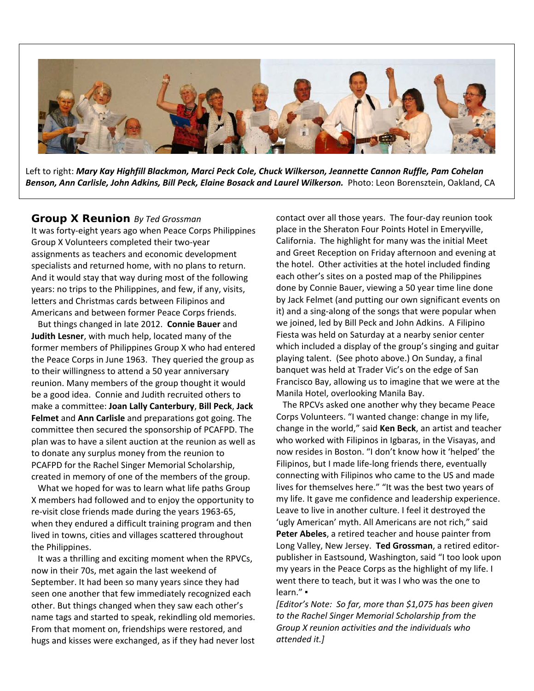

Left to right: *Mary Kay Highfill Blackmon, Marci Peck Cole, Chuck Wilkerson, Jeannette Cannon Ruffle, Pam Cohelan*  Benson, Ann Carlisle, John Adkins, Bill Peck, Elaine Bosack and Laurel Wilkerson. Photo: Leon Borensztein, Oakland, CA

#### **Group X Reunion** *By Ted Grossman*

It was forty-eight years ago when Peace Corps Philippines Group X Volunteers completed their two-year assignments as teachers and economic development specialists and returned home, with no plans to return. And it would stay that way during most of the following years: no trips to the Philippines, and few, if any, visits, letters and Christmas cards between Filipinos and Americans and between former Peace Corps friends.

 But things changed in late 2012. **Connie Bauer** and **Judith Lesner**, with much help, located many of the former members of Philippines Group X who had entered the Peace Corps in June 1963. They queried the group as to their willingness to attend a 50 year anniversary reunion. Many members of the group thought it would be a good idea. Connie and Judith recruited others to make a committee: **Joan Lally Canterbury**, **Bill Peck**, **Jack Felmet** and **Ann Carlisle** and preparations got going. The committee then secured the sponsorship of PCAFPD. The plan was to have a silent auction at the reunion as well as to donate any surplus money from the reunion to PCAFPD for the Rachel Singer Memorial Scholarship, created in memory of one of the members of the group.

 What we hoped for was to learn what life paths Group X members had followed and to enjoy the opportunity to re-visit close friends made during the years 1963-65, when they endured a difficult training program and then lived in towns, cities and villages scattered throughout the Philippines.

 It was a thrilling and exciting moment when the RPVCs, now in their 70s, met again the last weekend of September. It had been so many years since they had seen one another that few immediately recognized each other. But things changed when they saw each other's name tags and started to speak, rekindling old memories. From that moment on, friendships were restored, and hugs and kisses were exchanged, as if they had never lost contact over all those years. The four-day reunion took place in the Sheraton Four Points Hotel in Emeryville, California. The highlight for many was the initial Meet and Greet Reception on Friday afternoon and evening at the hotel. Other activities at the hotel included finding each other's sites on a posted map of the Philippines done by Connie Bauer, viewing a 50 year time line done by Jack Felmet (and putting our own significant events on it) and a sing-along of the songs that were popular when we joined, led by Bill Peck and John Adkins. A Filipino Fiesta was held on Saturday at a nearby senior center which included a display of the group's singing and guitar playing talent. (See photo above.) On Sunday, a final banquet was held at Trader Vic's on the edge of San Francisco Bay, allowing us to imagine that we were at the Manila Hotel, overlooking Manila Bay.

 The RPCVs asked one another why they became Peace Corps Volunteers. "I wanted change: change in my life, change in the world," said **Ken Beck**, an artist and teacher who worked with Filipinos in Igbaras, in the Visayas, and now resides in Boston. "I don't know how it 'helped' the Filipinos, but I made life-long friends there, eventually connecting with Filipinos who came to the US and made lives for themselves here." "It was the best two years of my life. It gave me confidence and leadership experience. Leave to live in another culture. I feel it destroyed the 'ugly American' myth. All Americans are not rich," said **Peter Abeles**, a retired teacher and house painter from Long Valley, New Jersey. **Ted Grossman**, a retired editorpublisher in Eastsound, Washington, said "I too look upon my years in the Peace Corps as the highlight of my life. I went there to teach, but it was I who was the one to learn." ▪

*[Editor's Note: So far, more than \$1,075 has been given to the Rachel Singer Memorial Scholarship from the Group X reunion activities and the individuals who attended it.]*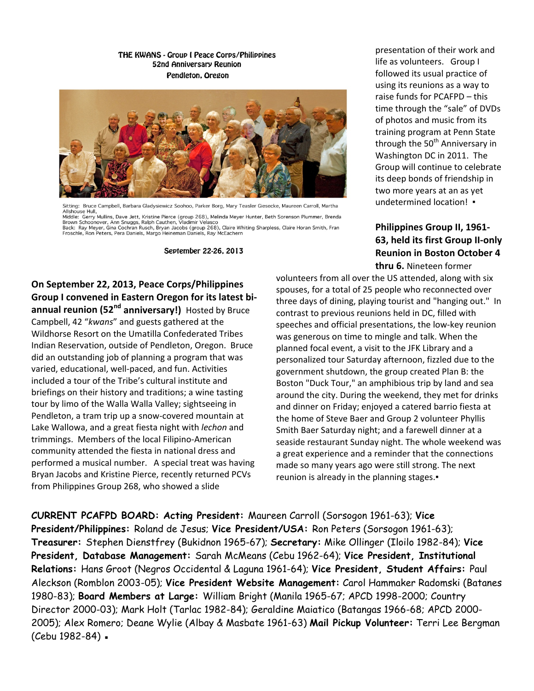#### THE KWANS - Group I Peace Corps/Philippines **52nd Anniversary Reunion** Pendleton, Oregon



Sitting: Bruce Campbell, Barbara Gladysiewicz Soohoo, Parker Borg, Mary Teasler Giesecke, Maureen Carroll, Martha Allshouse Hull Gerry Mullins, Dave Jett, Kristine Pierce (group 268), Melinda Meyer Hunter, Beth Sorenson Plummer, Brenda Brown Schoonover, Ann Snuggs, Ralph Cauthen, Vladimir Velasco Brown Schoonover, Ann Snuggs, Kaipn Cautnen, Viadimir Velasco<br>Back: Ray Meyer, Gina Cochran Rusch, Bryan Jacobs (group 268), Claire Whiting Sharpless, Claire Horan Smith, Fran<br>Froschle, Ron Peters, Pera Daniels, Margo Hein

September 22-26, 2013

**On September 22, 2013, Peace Corps/Philippines Group I convened in Eastern Oregon for its latest biannual reunion (52nd anniversary!)** Hosted by Bruce Campbell, 42 "*kwans*" and guests gathered at the Wildhorse Resort on the Umatilla Confederated Tribes Indian Reservation, outside of Pendleton, Oregon. Bruce did an outstanding job of planning a program that was varied, educational, well-paced, and fun. Activities included a tour of the Tribe's cultural institute and briefings on their history and traditions; a wine tasting tour by limo of the Walla Walla Valley; sightseeing in Pendleton, a tram trip up a snow-covered mountain at Lake Wallowa, and a great fiesta night with *lechon* and trimmings. Members of the local Filipino-American community attended the fiesta in national dress and performed a musical number. A special treat was having Bryan Jacobs and Kristine Pierce, recently returned PCVs from Philippines Group 268, who showed a slide

presentation of their work and life as volunteers. Group I followed its usual practice of using its reunions as a way to raise funds for PCAFPD – this time through the "sale" of DVDs of photos and music from its training program at Penn State through the 50<sup>th</sup> Anniversary in Washington DC in 2011. The Group will continue to celebrate its deep bonds of friendship in two more years at an as yet undetermined location! •

# **Philippines Group II, 1961- 63, held its first Group II-only Reunion in Boston October 4 thru 6.** Nineteen former

volunteers from all over the US attended, along with six spouses, for a total of 25 people who reconnected over three days of dining, playing tourist and "hanging out." In contrast to previous reunions held in DC, filled with speeches and official presentations, the low-key reunion was generous on time to mingle and talk. When the planned focal event, a visit to the JFK Library and a personalized tour Saturday afternoon, fizzled due to the government shutdown, the group created Plan B: the Boston "Duck Tour," an amphibious trip by land and sea around the city. During the weekend, they met for drinks and dinner on Friday; enjoyed a catered barrio fiesta at the home of Steve Baer and Group 2 volunteer Phyllis Smith Baer Saturday night; and a farewell dinner at a seaside restaurant Sunday night. The whole weekend was a great experience and a reminder that the connections made so many years ago were still strong. The next reunion is already in the planning stages.▪

**CURRENT PCAFPD BOARD: Acting President:** Maureen Carroll (Sorsogon 1961-63); **Vice President/Philippines:** Roland de Jesus; **Vice President/USA:** Ron Peters (Sorsogon 1961-63); **Treasurer:** Stephen Dienstfrey (Bukidnon 1965-67); **Secretary:** Mike Ollinger (Iloilo 1982-84); **Vice President, Database Management:** Sarah McMeans (Cebu 1962-64); **Vice President, Institutional Relations:** Hans Groot (Negros Occidental & Laguna 1961-64); **Vice President, Student Affairs:** Paul Aleckson (Romblon 2003-05); **Vice President Website Management:** Carol Hammaker Radomski (Batanes 1980-83); **Board Members at Large:** William Bright (Manila 1965-67; APCD 1998-2000; Country Director 2000-03); Mark Holt (Tarlac 1982-84); Geraldine Maiatico (Batangas 1966-68; APCD 2000- 2005); Alex Romero; Deane Wylie (Albay & Masbate 1961-63) **Mail Pickup Volunteer:** Terri Lee Bergman (Cebu 1982-84) ·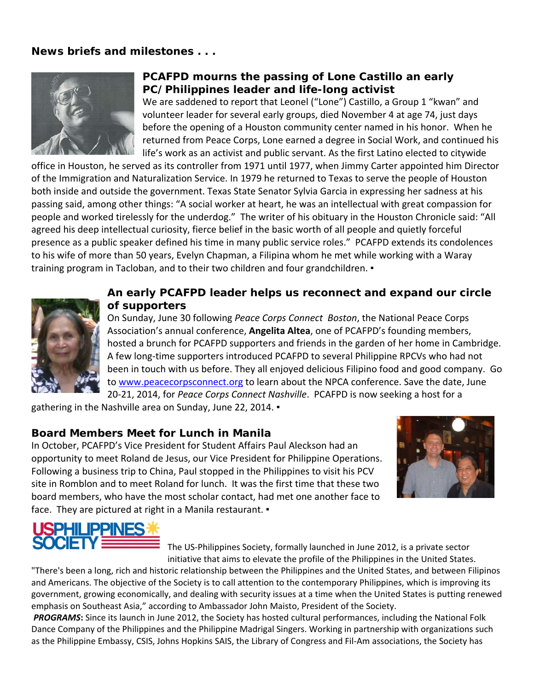# **News briefs and milestones . . .**



# **PCAFPD mourns the passing of Lone Castillo an early PC/Philippines leader and life-long activist**

We are saddened to report that Leonel ("Lone") Castillo, a Group 1 "kwan" and volunteer leader for several early groups, died November 4 at age 74, just days before the opening of a Houston community center named in his honor. When he returned from Peace Corps, Lone earned a degree in Social Work, and continued his life's work as an activist and public servant. As the first Latino elected to citywide

office in Houston, he served as its controller from 1971 until 1977, when Jimmy Carter appointed him Director of the Immigration and Naturalization Service. In 1979 he returned to Texas to serve the people of Houston both inside and outside the government. Texas State Senator Sylvia Garcia in expressing her sadness at his passing said, among other things: "A social worker at heart, he was an intellectual with great compassion for people and worked tirelessly for the underdog." The writer of his obituary in the Houston Chronicle said: "All agreed his deep intellectual curiosity, fierce belief in the basic worth of all people and quietly forceful presence as a public speaker defined his time in many public service roles." PCAFPD extends its condolences to his wife of more than 50 years, Evelyn Chapman, a Filipina whom he met while working with a Waray training program in Tacloban, and to their two children and four grandchildren. .



# **An early PCAFPD leader helps us reconnect and expand our circle of supporters**

On Sunday, June 30 following *Peace Corps Connect Boston*, the National Peace Corps Association's annual conference, **Angelita Altea**, one of PCAFPD's founding members, hosted a brunch for PCAFPD supporters and friends in the garden of her home in Cambridge. A few long-time supporters introduced PCAFPD to several Philippine RPCVs who had not been in touch with us before. They all enjoyed delicious Filipino food and good company. Go to [www.peacecorpsconnect.org](http://www.peacecorpsconnect.org/) to learn about the NPCA conference. Save the date, June 20-21, 2014, for *Peace Corps Connect Nashville*. PCAFPD is now seeking a host for a

gathering in the Nashville area on Sunday, June 22, 2014. .

# **Board Members Meet for Lunch in Manila**

In October, PCAFPD's Vice President for Student Affairs Paul Aleckson had an opportunity to meet Roland de Jesus, our Vice President for Philippine Operations. Following a business trip to China, Paul stopped in the Philippines to visit his PCV site in Romblon and to meet Roland for lunch. It was the first time that these two board members, who have the most scholar contact, had met one another face to face. They are pictured at right in a Manila restaurant. •





The US-Philippines Society, formally launched in June 2012, is a private sector initiative that aims to elevate the profile of the Philippines in the United States.

"There's been a long, rich and historic relationship between the Philippines and the United States, and between Filipinos and Americans. The objective of the Society is to call attention to the contemporary Philippines, which is improving its government, growing economically, and dealing with security issues at a time when the United States is putting renewed emphasis on Southeast Asia," according to Ambassador John Maisto, President of the Society.

*PROGRAMS***:** Since its launch in June 2012, the Society has hosted cultural performances, including the National Folk Dance Company of the Philippines and the Philippine Madrigal Singers. Working in partnership with organizations such as the Philippine Embassy, CSIS, Johns Hopkins SAIS, the Library of Congress and Fil-Am associations, the Society has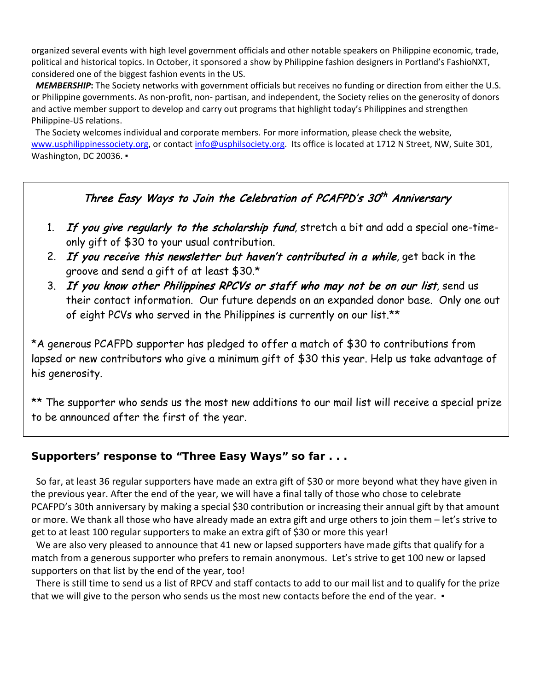organized several events with high level government officials and other notable speakers on Philippine economic, trade, political and historical topics. In October, it sponsored a show by Philippine fashion designers in Portland's FashioNXT, considered one of the biggest fashion events in the US.

 *MEMBERSHIP***:** The Society networks with government officials but receives no funding or direction from either the U.S. or Philippine governments. As non-profit, non- partisan, and independent, the Society relies on the generosity of donors and active member support to develop and carry out programs that highlight today's Philippines and strengthen Philippine-US relations.

 The Society welcomes individual and corporate members. For more information, please check the website, [www.usphilippinessociety.org,](http://www.usphilippinessociety.org/) or contac[t info@usphilsociety.org.](mailto:info@usphilsociety.org) Its office is located at 1712 N Street, NW, Suite 301, Washington, DC 20036. •

# Three Easy Ways to Join the Celebration of PCAFPD's 30<sup>th</sup> Anniversary

- 1. If you give regularly to the scholarship fund, stretch a bit and add a special one-timeonly gift of \$30 to your usual contribution.
- 2. If you receive this newsletter but haven't contributed in a while, get back in the groove and send a gift of at least \$30.\*
- 3. If you know other Philippines RPCVs or staff who may not be on our list, send us their contact information. Our future depends on an expanded donor base. Only one out of eight PCVs who served in the Philippines is currently on our list.\*\*

\*A generous PCAFPD supporter has pledged to offer a match of \$30 to contributions from lapsed or new contributors who give a minimum gift of \$30 this year. Help us take advantage of his generosity.

\*\* The supporter who sends us the most new additions to our mail list will receive a special prize to be announced after the first of the year.

# **Supporters' response to "Three Easy Ways" so far . . .**

 So far, at least 36 regular supporters have made an extra gift of \$30 or more beyond what they have given in the previous year. After the end of the year, we will have a final tally of those who chose to celebrate PCAFPD's 30th anniversary by making a special \$30 contribution or increasing their annual gift by that amount or more. We thank all those who have already made an extra gift and urge others to join them – let's strive to get to at least 100 regular supporters to make an extra gift of \$30 or more this year!

We are also very pleased to announce that 41 new or lapsed supporters have made gifts that qualify for a match from a generous supporter who prefers to remain anonymous. Let's strive to get 100 new or lapsed supporters on that list by the end of the year, too!

 There is still time to send us a list of RPCV and staff contacts to add to our mail list and to qualify for the prize that we will give to the person who sends us the most new contacts before the end of the year. •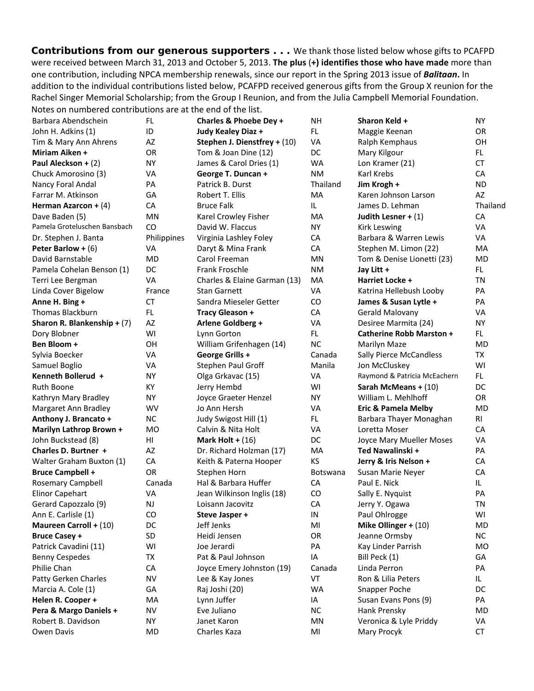*Contributions from our generous supporters* **. . .** We thank those listed below whose gifts to PCAFPD were received between March 31, 2013 and October 5, 2013. **The plus** (**+) identifies those who have made** more than one contribution, including NPCA membership renewals, since our report in the Spring 2013 issue of *Balitaan***.** In addition to the individual contributions listed below, PCAFPD received generous gifts from the Group X reunion for the Rachel Singer Memorial Scholarship; from the Group I Reunion, and from the Julia Campbell Memorial Foundation. Notes on numbered contributions are at the end of the list.

| Barbara Abendschein          | FL.         | Charles & Phoebe Dey +       | <b>NH</b> | Sharon Keld +                   | NY        |
|------------------------------|-------------|------------------------------|-----------|---------------------------------|-----------|
| John H. Adkins (1)           | ID          | Judy Kealey Diaz +           | FL.       | Maggie Keenan                   | OR        |
| Tim & Mary Ann Ahrens        | AZ          | Stephen J. Dienstfrey + (10) | VA        | Ralph Kemphaus                  | OH        |
| <b>Miriam Aiken +</b>        | OR          | Tom & Joan Dine (12)         | DC        | Mary Kilgour                    | FL.       |
| Paul Aleckson + (2)          | <b>NY</b>   | James & Carol Dries (1)      | <b>WA</b> | Lon Kramer (21)                 | <b>CT</b> |
| Chuck Amorosino (3)          | VA          | George T. Duncan +           | <b>NM</b> | Karl Krebs                      | CA        |
| Nancy Foral Andal            | PA          | Patrick B. Durst             | Thailand  | Jim Krogh +                     | <b>ND</b> |
| Farrar M. Atkinson           | GA          | Robert T. Ellis              | <b>MA</b> | Karen Johnson Larson            | AZ        |
| Herman Azarcon + $(4)$       | CA          | <b>Bruce Falk</b>            | IL.       | James D. Lehman                 | Thailand  |
| Dave Baden (5)               | MN          | Karel Crowley Fisher         | MA        | Judith Lesner + $(1)$           | CA        |
| Pamela Groteluschen Bansbach | CO          | David W. Flaccus             | NY        | <b>Kirk Leswing</b>             | VA        |
| Dr. Stephen J. Banta         | Philippines | Virginia Lashley Foley       | CA        | Barbara & Warren Lewis          | VA        |
| Peter Barlow + $(6)$         | VA          | Daryt & Mina Frank           | CA        | Stephen M. Limon (22)           | MA        |
| David Barnstable             | MD          | Carol Freeman                | MN        | Tom & Denise Lionetti (23)      | <b>MD</b> |
| Pamela Cohelan Benson (1)    | DC          | <b>Frank Froschle</b>        | NM        | Jay Litt +                      | FL.       |
| Terri Lee Bergman            | VA          | Charles & Elaine Garman (13) | MA        | Harriet Locke +                 | TN        |
| Linda Cover Bigelow          | France      | <b>Stan Garnett</b>          | VA        | Katrina Hellebush Looby         | PA        |
| Anne H. Bing +               | <b>CT</b>   | Sandra Mieseler Getter       | CO        | James & Susan Lytle +           | PA        |
| <b>Thomas Blackburn</b>      | FL.         | <b>Tracy Gleason +</b>       | CA        | Gerald Malovany                 | VA        |
| Sharon R. Blankenship + (7)  | AZ          | Arlene Goldberg +            | VA        | Desiree Marmita (24)            | <b>NY</b> |
| Dory Blobner                 | WI          | Lynn Gorton                  | FL.       | <b>Catherine Robb Marston +</b> | FL.       |
| Ben Bloom +                  | OН          | William Grifenhagen (14)     | <b>NC</b> | Marilyn Maze                    | MD        |
| Sylvia Boecker               | VA          | George Grills +              | Canada    | <b>Sally Pierce McCandless</b>  | TX        |
| Samuel Boglio                | VA          | Stephen Paul Groff           | Manila    | Jon McCluskey                   | WI        |
| Kenneth Bollerud +           | NY.         | Olga Grkavac (15)            | VA        | Raymond & Patricia McEachern    | FL.       |
| Ruth Boone                   | KY          | Jerry Hembd                  | WI        | Sarah McMeans + $(10)$          | DC        |
| Kathryn Mary Bradley         | NY.         | Joyce Graeter Henzel         | <b>NY</b> | William L. Mehlhoff             | OR        |
| Margaret Ann Bradley         | WV          | Jo Ann Hersh                 | VA        | <b>Eric &amp; Pamela Melby</b>  | <b>MD</b> |
| Anthony J. Brancato +        | <b>NC</b>   | Judy Swigost Hill (1)        | FL.       | Barbara Thayer Monaghan         | RI        |
| Marilyn Lathrop Brown +      | MO          | Calvin & Nita Holt           | VA        | Loretta Moser                   | CA        |
| John Buckstead (8)           | HI          | Mark Holt + $(16)$           | DC        | Joyce Mary Mueller Moses        | VA        |
| Charles D. Burtner +         | AZ          | Dr. Richard Holzman (17)     | <b>MA</b> | Ted Nawalinski +                | PA        |
| Walter Graham Buxton (1)     | CA          | Keith & Paterna Hooper       | KS        | Jerry & Iris Nelson +           | CA        |
| <b>Bruce Campbell +</b>      | <b>OR</b>   | Stephen Horn                 | Botswana  | Susan Marie Neyer               | CA        |
| Rosemary Campbell            | Canada      | Hal & Barbara Huffer         | CA        | Paul E. Nick                    | IL.       |
| <b>Elinor Capehart</b>       | VA          | Jean Wilkinson Inglis (18)   | CO        | Sally E. Nyquist                | PA        |
| Gerard Capozzalo (9)         | <b>NJ</b>   | Loisann Jacovitz             | CA        | Jerry Y. Ogawa                  | TN        |
| Ann E. Carlisle (1)          | CO          | Steve Jasper +               | $\sf IN$  | Paul Ohlrogge                   | WI        |
| Maureen Carroll + (10)       | DC          | Jeff Jenks                   | MI        | Mike Ollinger + $(10)$          | MD        |
| <b>Bruce Casey +</b>         | SD          | Heidi Jensen                 | OR        | Jeanne Ormsby                   | <b>NC</b> |
| Patrick Cavadini (11)        | WI          | Joe Jerardi                  | PA        | Kay Linder Parrish              | <b>MO</b> |
| <b>Benny Cespedes</b>        | ТX          | Pat & Paul Johnson           | IA        | Bill Peck (1)                   | GA        |
| Philie Chan                  | CA          | Joyce Emery Johnston (19)    | Canada    | Linda Perron                    | PA        |
| Patty Gerken Charles         | <b>NV</b>   | Lee & Kay Jones              | VT        | Ron & Lilia Peters              | IL.       |
| Marcia A. Cole (1)           | GA          | Raj Joshi (20)               | <b>WA</b> | Snapper Poche                   | DC        |
| Helen R. Cooper +            | MA          | Lynn Juffer                  | IA        | Susan Evans Pons (9)            | PA        |
| Pera & Margo Daniels +       | NV          | Eve Juliano                  | <b>NC</b> | Hank Prensky                    | MD        |
| Robert B. Davidson           | ΝY          | Janet Karon                  | MN        | Veronica & Lyle Priddy          | VA        |
| Owen Davis                   | MD          | Charles Kaza                 | MI        | Mary Procyk                     | CT        |